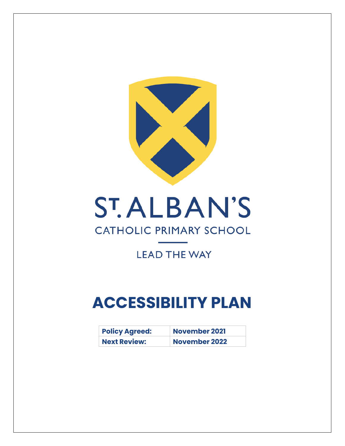

## **ST.ALBAN'S**

## **CATHOLIC PRIMARY SCHOOL**

## **LEAD THE WAY**

## **ACCESSIBILITY PLAN**

| <b>Policy Agreed:</b> | <b>November 2021</b> |
|-----------------------|----------------------|
| <b>Next Review:</b>   | <b>November 2022</b> |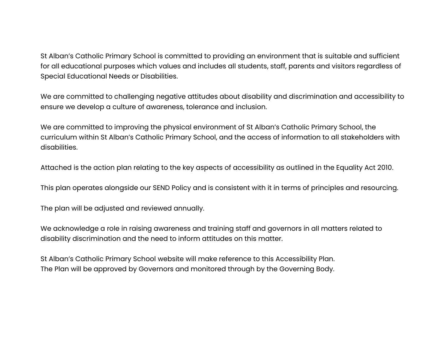St Alban's Catholic Primary School is committed to providing an environment that is suitable and sufficient for all educational purposes which values and includes all students, staff, parents and visitors regardless of Special Educational Needs or Disabilities.

We are committed to challenging negative attitudes about disability and discrimination and accessibility to ensure we develop a culture of awareness, tolerance and inclusion.

We are committed to improving the physical environment of St Alban's Catholic Primary School, the curriculum within St Alban's Catholic Primary School, and the access of information to all stakeholders with disabilities.

Attached is the action plan relating to the key aspects of accessibility as outlined in the Equality Act 2010.

This plan operates alongside our SEND Policy and is consistent with it in terms of principles and resourcing.

The plan will be adjusted and reviewed annually.

We acknowledge a role in raising awareness and training staff and governors in all matters related to disability discrimination and the need to inform attitudes on this matter.

St Alban's Catholic Primary School website will make reference to this Accessibility Plan. The Plan will be approved by Governors and monitored through by the Governing Body.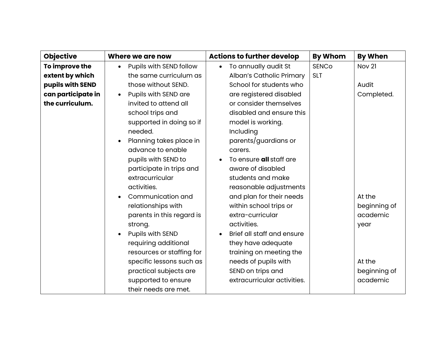| <b>Objective</b>   | Where we are now                     | <b>Actions to further develop</b> | <b>By Whom</b> | <b>By When</b>    |
|--------------------|--------------------------------------|-----------------------------------|----------------|-------------------|
| To improve the     | Pupils with SEND follow<br>$\bullet$ | To annually audit St<br>$\bullet$ | <b>SENCO</b>   | Nov <sub>21</sub> |
| extent by which    | the same curriculum as               | Alban's Catholic Primary          | <b>SLT</b>     |                   |
| pupils with SEND   | those without SEND.                  | School for students who           |                | Audit             |
| can participate in | Pupils with SEND are<br>$\bullet$    | are registered disabled           |                | Completed.        |
| the curriculum.    | invited to attend all                | or consider themselves            |                |                   |
|                    | school trips and                     | disabled and ensure this          |                |                   |
|                    | supported in doing so if             | model is working.                 |                |                   |
|                    | needed.                              | Including                         |                |                   |
|                    | Planning takes place in              | parents/guardians or              |                |                   |
|                    | advance to enable                    | carers.                           |                |                   |
|                    | pupils with SEND to                  | To ensure all staff are           |                |                   |
|                    | participate in trips and             | aware of disabled                 |                |                   |
|                    | extracurricular                      | students and make                 |                |                   |
|                    | activities.                          | reasonable adjustments            |                |                   |
|                    | Communication and                    | and plan for their needs          |                | At the            |
|                    | relationships with                   | within school trips or            |                | beginning of      |
|                    | parents in this regard is            | extra-curricular                  |                | academic          |
|                    | strong.                              | activities.                       |                | year              |
|                    | Pupils with SEND                     | Brief all staff and ensure        |                |                   |
|                    | requiring additional                 | they have adequate                |                |                   |
|                    | resources or staffing for            | training on meeting the           |                |                   |
|                    | specific lessons such as             | needs of pupils with              |                | At the            |
|                    | practical subjects are               | SEND on trips and                 |                | beginning of      |
|                    | supported to ensure                  | extracurricular activities.       |                | academic          |
|                    | their needs are met.                 |                                   |                |                   |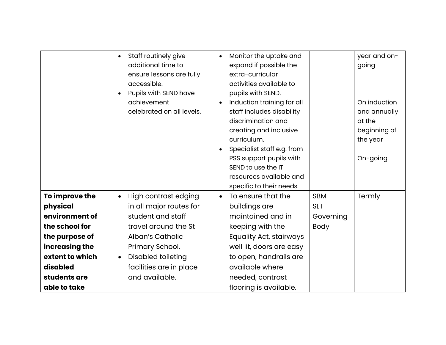|                                                                                                                                                                   | Staff routinely give<br>$\bullet$<br>additional time to<br>ensure lessons are fully<br>accessible.<br>Pupils with SEND have<br>achievement<br>celebrated on all levels.                                                    | Monitor the uptake and<br>$\bullet$<br>expand if possible the<br>extra-curricular<br>activities available to<br>pupils with SEND.<br>Induction training for all<br>staff includes disability<br>discrimination and<br>creating and inclusive<br>curriculum.<br>Specialist staff e.g. from<br>PSS support pupils with<br>SEND to use the IT<br>resources available and<br>specific to their needs. |                                                      | year and on-<br>going<br>On induction<br>and annually<br>at the<br>beginning of<br>the year<br>On-going |
|-------------------------------------------------------------------------------------------------------------------------------------------------------------------|----------------------------------------------------------------------------------------------------------------------------------------------------------------------------------------------------------------------------|---------------------------------------------------------------------------------------------------------------------------------------------------------------------------------------------------------------------------------------------------------------------------------------------------------------------------------------------------------------------------------------------------|------------------------------------------------------|---------------------------------------------------------------------------------------------------------|
| To improve the<br>physical<br>environment of<br>the school for<br>the purpose of<br>increasing the<br>extent to which<br>disabled<br>students are<br>able to take | High contrast edging<br>$\bullet$<br>in all major routes for<br>student and staff<br>travel around the St<br>Alban's Catholic<br>Primary School.<br><b>Disabled toileting</b><br>facilities are in place<br>and available. | To ensure that the<br>$\bullet$<br>buildings are<br>maintained and in<br>keeping with the<br>Equality Act, stairways<br>well lit, doors are easy<br>to open, handrails are<br>available where<br>needed, contrast<br>flooring is available.                                                                                                                                                       | <b>SBM</b><br><b>SLT</b><br>Governing<br><b>Body</b> | Termly                                                                                                  |